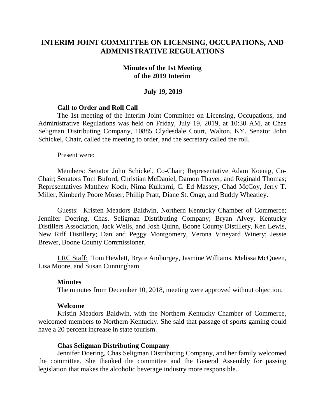# **INTERIM JOINT COMMITTEE ON LICENSING, OCCUPATIONS, AND ADMINISTRATIVE REGULATIONS**

#### **Minutes of the 1st Meeting of the 2019 Interim**

#### **July 19, 2019**

### **Call to Order and Roll Call**

The 1st meeting of the Interim Joint Committee on Licensing, Occupations, and Administrative Regulations was held on Friday, July 19, 2019, at 10:30 AM, at Chas Seligman Distributing Company, 10885 Clydesdale Court, Walton, KY. Senator John Schickel, Chair, called the meeting to order, and the secretary called the roll.

Present were:

Members: Senator John Schickel, Co-Chair; Representative Adam Koenig, Co-Chair; Senators Tom Buford, Christian McDaniel, Damon Thayer, and Reginald Thomas; Representatives Matthew Koch, Nima Kulkarni, C. Ed Massey, Chad McCoy, Jerry T. Miller, Kimberly Poore Moser, Phillip Pratt, Diane St. Onge, and Buddy Wheatley.

Guests: Kristen Meadors Baldwin, Northern Kentucky Chamber of Commerce; Jennifer Doering, Chas. Seligman Distributing Company; Bryan Alvey, Kentucky Distillers Association, Jack Wells, and Josh Quinn, Boone County Distillery, Ken Lewis, New Riff Distillery; Dan and Peggy Montgomery, Verona Vineyard Winery; Jessie Brewer, Boone County Commissioner.

LRC Staff: Tom Hewlett, Bryce Amburgey, Jasmine Williams, Melissa McQueen, Lisa Moore, and Susan Cunningham

#### **Minutes**

The minutes from December 10, 2018, meeting were approved without objection.

#### **Welcome**

Kristin Meadors Baldwin, with the Northern Kentucky Chamber of Commerce, welcomed members to Northern Kentucky. She said that passage of sports gaming could have a 20 percent increase in state tourism.

#### **Chas Seligman Distributing Company**

Jennifer Doering, Chas Seligman Distributing Company, and her family welcomed the committee. She thanked the committee and the General Assembly for passing legislation that makes the alcoholic beverage industry more responsible.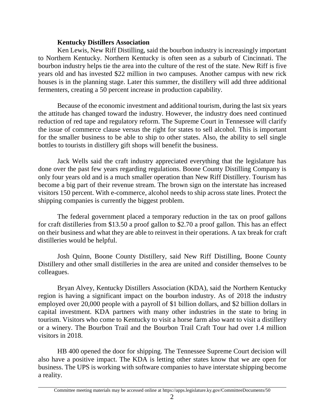### **Kentucky Distillers Association**

Ken Lewis, New Riff Distilling, said the bourbon industry is increasingly important to Northern Kentucky. Northern Kentucky is often seen as a suburb of Cincinnati. The bourbon industry helps tie the area into the culture of the rest of the state. New Riff is five years old and has invested \$22 million in two campuses. Another campus with new rick houses is in the planning stage. Later this summer, the distillery will add three additional fermenters, creating a 50 percent increase in production capability.

Because of the economic investment and additional tourism, during the last six years the attitude has changed toward the industry. However, the industry does need continued reduction of red tape and regulatory reform. The Supreme Court in Tennessee will clarify the issue of commerce clause versus the right for states to sell alcohol. This is important for the smaller business to be able to ship to other states. Also, the ability to sell single bottles to tourists in distillery gift shops will benefit the business.

Jack Wells said the craft industry appreciated everything that the legislature has done over the past few years regarding regulations. Boone County Distilling Company is only four years old and is a much smaller operation than New Riff Distillery. Tourism has become a big part of their revenue stream. The brown sign on the interstate has increased visitors 150 percent. With e-commerce, alcohol needs to ship across state lines. Protect the shipping companies is currently the biggest problem.

The federal government placed a temporary reduction in the tax on proof gallons for craft distilleries from \$13.50 a proof gallon to \$2.70 a proof gallon. This has an effect on their business and what they are able to reinvest in their operations. A tax break for craft distilleries would be helpful.

Josh Quinn, Boone County Distillery, said New Riff Distilling, Boone County Distillery and other small distilleries in the area are united and consider themselves to be colleagues.

Bryan Alvey, Kentucky Distillers Association (KDA), said the Northern Kentucky region is having a significant impact on the bourbon industry. As of 2018 the industry employed over 20,000 people with a payroll of \$1 billion dollars, and \$2 billion dollars in capital investment. KDA partners with many other industries in the state to bring in tourism. Visitors who come to Kentucky to visit a horse farm also want to visit a distillery or a winery. The Bourbon Trail and the Bourbon Trail Craft Tour had over 1.4 million visitors in 2018.

HB 400 opened the door for shipping. The Tennessee Supreme Court decision will also have a positive impact. The KDA is letting other states know that we are open for business. The UPS is working with software companies to have interstate shipping become a reality.

Committee meeting materials may be accessed online at https://apps.legislature.ky.gov/CommitteeDocuments/50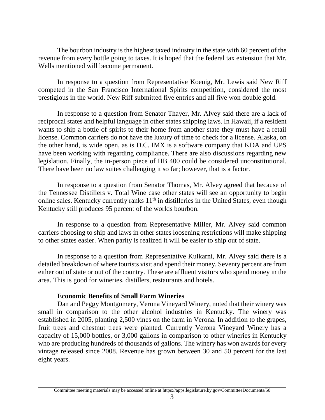The bourbon industry is the highest taxed industry in the state with 60 percent of the revenue from every bottle going to taxes. It is hoped that the federal tax extension that Mr. Wells mentioned will become permanent.

In response to a question from Representative Koenig, Mr. Lewis said New Riff competed in the San Francisco International Spirits competition, considered the most prestigious in the world. New Riff submitted five entries and all five won double gold.

In response to a question from Senator Thayer, Mr. Alvey said there are a lack of reciprocal states and helpful language in other states shipping laws. In Hawaii, if a resident wants to ship a bottle of spirits to their home from another state they must have a retail license. Common carriers do not have the luxury of time to check for a license. Alaska, on the other hand, is wide open, as is D.C. IMX is a software company that KDA and UPS have been working with regarding compliance. There are also discussions regarding new legislation. Finally, the in-person piece of HB 400 could be considered unconstitutional. There have been no law suites challenging it so far; however, that is a factor.

In response to a question from Senator Thomas, Mr. Alvey agreed that because of the Tennessee Distillers v. Total Wine case other states will see an opportunity to begin online sales. Kentucky currently ranks  $11<sup>th</sup>$  in distilleries in the United States, even though Kentucky still produces 95 percent of the worlds bourbon.

In response to a question from Representative Miller, Mr. Alvey said common carriers choosing to ship and laws in other states loosening restrictions will make shipping to other states easier. When parity is realized it will be easier to ship out of state.

In response to a question from Representative Kulkarni, Mr. Alvey said there is a detailed breakdown of where tourists visit and spend their money. Seventy percent are from either out of state or out of the country. These are affluent visitors who spend money in the area. This is good for wineries, distillers, restaurants and hotels.

## **Economic Benefits of Small Farm Wineries**

Dan and Peggy Montgomery, Verona Vineyard Winery, noted that their winery was small in comparison to the other alcohol industries in Kentucky. The winery was established in 2005, planting 2,500 vines on the farm in Verona. In addition to the grapes, fruit trees and chestnut trees were planted. Currently Verona Vineyard Winery has a capacity of 15,000 bottles, or 3,000 gallons in comparison to other wineries in Kentucky who are producing hundreds of thousands of gallons. The winery has won awards for every vintage released since 2008. Revenue has grown between 30 and 50 percent for the last eight years.

Committee meeting materials may be accessed online at https://apps.legislature.ky.gov/CommitteeDocuments/50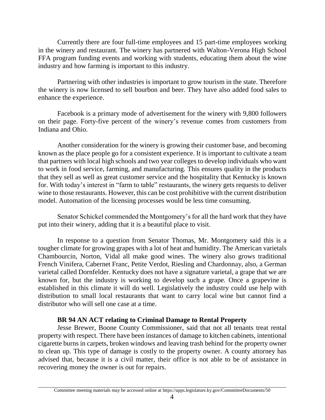Currently there are four full-time employees and 15 part-time employees working in the winery and restaurant. The winery has partnered with Walton-Verona High School FFA program funding events and working with students, educating them about the wine industry and how farming is important to this industry.

Partnering with other industries is important to grow tourism in the state. Therefore the winery is now licensed to sell bourbon and beer. They have also added food sales to enhance the experience.

Facebook is a primary mode of advertisement for the winery with 9,800 followers on their page. Forty-five percent of the winery's revenue comes from customers from Indiana and Ohio.

Another consideration for the winery is growing their customer base, and becoming known as the place people go for a consistent experience. It is important to cultivate a team that partners with local high schools and two year colleges to develop individuals who want to work in food service, farming, and manufacturing. This ensures quality in the products that they sell as well as great customer service and the hospitality that Kentucky is known for. With today's interest in "farm to table" restaurants, the winery gets requests to deliver wine to those restaurants. However, this can be cost prohibitive with the current distribution model. Automation of the licensing processes would be less time consuming.

Senator Schickel commended the Montgomery's for all the hard work that they have put into their winery, adding that it is a beautiful place to visit.

In response to a question from Senator Thomas, Mr. Montgomery said this is a tougher climate for growing grapes with a lot of heat and humidity. The American varietals Chambourcin, Norton, Vidal all make good wines. The winery also grows traditional French Vinifera, Cabernet Franc, Petite Verdot, Riesling and Chardonnay, also, a German varietal called Dornfelder. Kentucky does not have a signature varietal, a grape that we are known for, but the industry is working to develop such a grape. Once a grapevine is established in this climate it will do well. Legislatively the industry could use help with distribution to small local restaurants that want to carry local wine but cannot find a distributor who will sell one case at a time.

## **BR 94 AN ACT relating to Criminal Damage to Rental Property**

Jesse Brewer, Boone County Commissioner, said that not all tenants treat rental property with respect. There have been instances of damage to kitchen cabinets, intentional cigarette burns in carpets, broken windows and leaving trash behind for the property owner to clean up. This type of damage is costly to the property owner. A county attorney has advised that, because it is a civil matter, their office is not able to be of assistance in recovering money the owner is out for repairs.